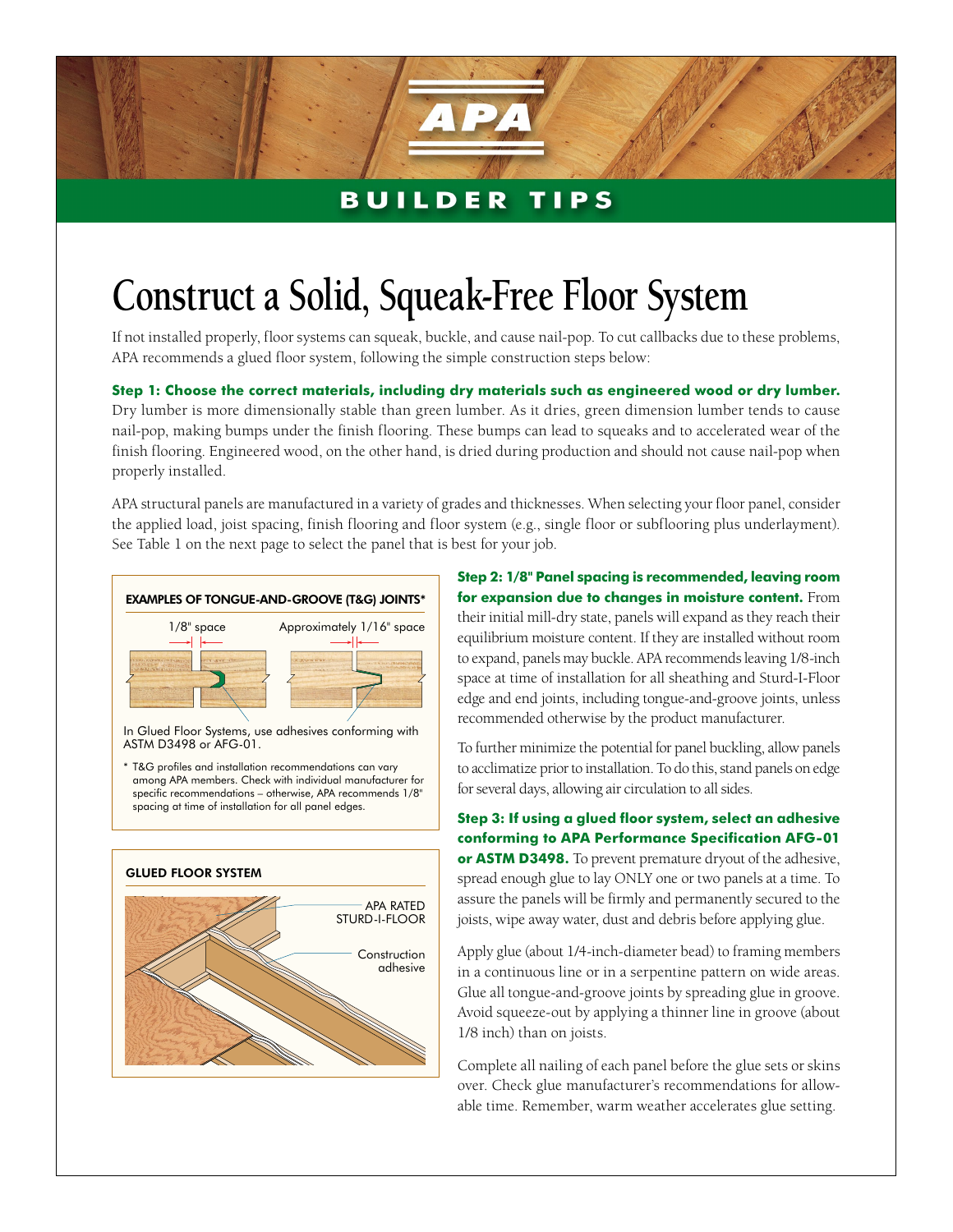## **BUILDER TIPS**

## **Construct a Solid, Squeak-Free Floor System**

If not installed properly, floor systems can squeak, buckle, and cause nail-pop. To cut callbacks due to these problems, APA recommends a glued floor system, following the simple construction steps below:

**Step 1: Choose the correct materials, including dry materials such as engineered wood or dry lumber.** Dry lumber is more dimensionally stable than green lumber. As it dries, green dimension lumber tends to cause nail-pop, making bumps under the finish flooring. These bumps can lead to squeaks and to accelerated wear of the finish flooring. Engineered wood, on the other hand, is dried during production and should not cause nail-pop when

APA structural panels are manufactured in a variety of grades and thicknesses. When selecting your floor panel, consider the applied load, joist spacing, finish flooring and floor system (e.g., single floor or subflooring plus underlayment). See Table 1 on the next page to select the panel that is best for your job.



properly installed.

In Glued Floor Systems, use adhesives conforming with ASTM D3498 or AFG-01.

\* T&G profiles and installation recommendations can vary among APA members. Check with individual manufacturer for specific recommendations – otherwise, APA recommends 1/8" spacing at time of installation for all panel edges.



**Step 2: 1/8" Panel spacing is recommended, leaving room for expansion due to changes in moisture content.** From their initial mill-dry state, panels will expand as they reach their equilibrium moisture content. If they are installed without room to expand, panels may buckle. APA recommends leaving 1/8-inch space at time of installation for all sheathing and Sturd-I-Floor edge and end joints, including tongue-and-groove joints, unless recommended otherwise by the product manufacturer.

To further minimize the potential for panel buckling, allow panels to acclimatize prior to installation. To do this, stand panels on edge for several days, allowing air circulation to all sides.

**Step 3: If using a glued floor system, select an adhesive conforming to APA Performance Specification AFG-01 or ASTM D3498.** To prevent premature dryout of the adhesive, spread enough glue to lay ONLY one or two panels at a time. To assure the panels will be firmly and permanently secured to the joists, wipe away water, dust and debris before applying glue.

Apply glue (about 1/4-inch-diameter bead) to framing members in a continuous line or in a serpentine pattern on wide areas. Glue all tongue-and-groove joints by spreading glue in groove. Avoid squeeze-out by applying a thinner line in groove (about 1/8 inch) than on joists.

Complete all nailing of each panel before the glue sets or skins over. Check glue manufacturer's recommendations for allowable time. Remember, warm weather accelerates glue setting.